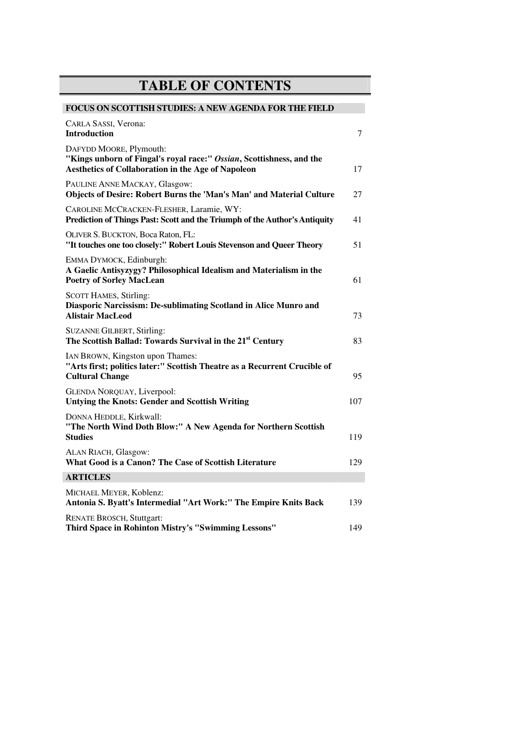## **TABLE OF CONTENTS**

| <b>FOCUS ON SCOTTISH STUDIES: A NEW AGENDA FOR THE FIELD</b>                                                                                          |     |
|-------------------------------------------------------------------------------------------------------------------------------------------------------|-----|
| CARLA SASSI, Verona:<br><b>Introduction</b>                                                                                                           | 7   |
| DAFYDD MOORE, Plymouth:<br>"Kings unborn of Fingal's royal race:" Ossian, Scottishness, and the<br>Aesthetics of Collaboration in the Age of Napoleon | 17  |
| PAULINE ANNE MACKAY, Glasgow:<br>Objects of Desire: Robert Burns the 'Man's Man' and Material Culture                                                 | 27  |
| CAROLINE MCCRACKEN-FLESHER, Laramie, WY:<br>Prediction of Things Past: Scott and the Triumph of the Author's Antiquity                                | 41  |
| OLIVER S. BUCKTON, Boca Raton, FL:<br>"It touches one too closely:" Robert Louis Stevenson and Queer Theory                                           | 51  |
| EMMA DYMOCK, Edinburgh:<br>A Gaelic Antisyzygy? Philosophical Idealism and Materialism in the<br><b>Poetry of Sorley MacLean</b>                      | 61  |
| <b>SCOTT HAMES, Stirling:</b><br>Diasporic Narcissism: De-sublimating Scotland in Alice Munro and<br><b>Alistair MacLeod</b>                          | 73  |
| <b>SUZANNE GILBERT, Stirling:</b><br>The Scottish Ballad: Towards Survival in the 21 <sup>st</sup> Century                                            | 83  |
| IAN BROWN, Kingston upon Thames:<br>"Arts first; politics later:" Scottish Theatre as a Recurrent Crucible of<br><b>Cultural Change</b>               | 95  |
| GLENDA NORQUAY, Liverpool:<br><b>Untying the Knots: Gender and Scottish Writing</b>                                                                   | 107 |
| DONNA HEDDLE, Kirkwall:<br>"The North Wind Doth Blow:" A New Agenda for Northern Scottish<br><b>Studies</b>                                           | 119 |
| ALAN RIACH, Glasgow:<br>What Good is a Canon? The Case of Scottish Literature                                                                         | 129 |
| <b>ARTICLES</b>                                                                                                                                       |     |
| MICHAEL MEYER, Koblenz:<br>Antonia S. Byatt's Intermedial "Art Work:" The Empire Knits Back                                                           | 139 |
| <b>RENATE BROSCH, Stuttgart:</b><br>Third Space in Rohinton Mistry's "Swimming Lessons"                                                               | 149 |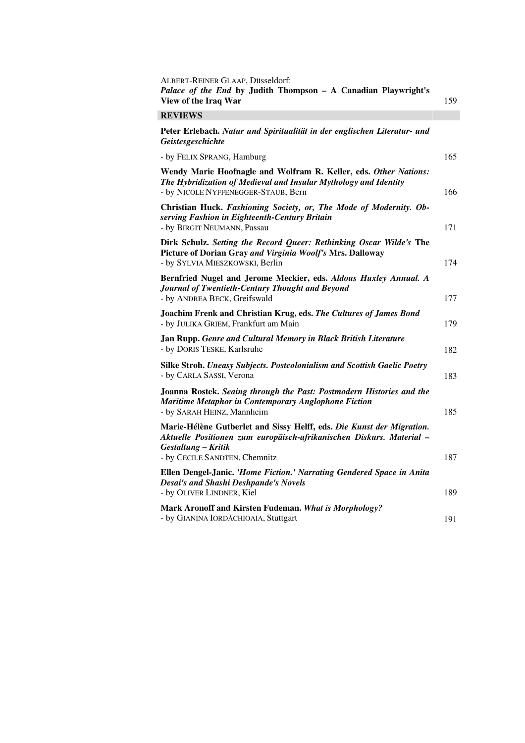| ALBERT-REINER GLAAP, Düsseldorf:<br>Palace of the End by Judith Thompson - A Canadian Playwright's<br>View of the Iraq War                                                  | 159 |
|-----------------------------------------------------------------------------------------------------------------------------------------------------------------------------|-----|
| <b>REVIEWS</b>                                                                                                                                                              |     |
| Peter Erlebach. Natur und Spiritualität in der englischen Literatur- und<br><i><b>Geistesgeschichte</b></i>                                                                 |     |
| - by FELIX SPRANG, Hamburg                                                                                                                                                  | 165 |
| Wendy Marie Hoofnagle and Wolfram R. Keller, eds. Other Nations:<br>The Hybridization of Medieval and Insular Mythology and Identity<br>- by NICOLE NYFFENEGGER-STAUB, Bern | 166 |
| Christian Huck. Fashioning Society, or, The Mode of Modernity. Ob-<br>serving Fashion in Eighteenth-Century Britain<br>- by BIRGIT NEUMANN, Passau                          | 171 |
| Dirk Schulz. Setting the Record Queer: Rethinking Oscar Wilde's The<br>Picture of Dorian Gray and Virginia Woolf's Mrs. Dalloway<br>- by SYLVIA MIESZKOWSKI, Berlin         | 174 |
| Bernfried Nugel and Jerome Meckier, eds. Aldous Huxley Annual. A<br>Journal of Twentieth-Century Thought and Beyond<br>- by ANDREA BECK, Greifswald                         | 177 |
| Joachim Frenk and Christian Krug, eds. The Cultures of James Bond<br>- by JULIKA GRIEM, Frankfurt am Main                                                                   | 179 |
| Jan Rupp. Genre and Cultural Memory in Black British Literature<br>- by DORIS TESKE, Karlsruhe                                                                              | 182 |
| Silke Stroh. Uneasy Subjects. Postcolonialism and Scottish Gaelic Poetry<br>- by CARLA SASSI, Verona                                                                        | 183 |
| Joanna Rostek. Seaing through the Past: Postmodern Histories and the<br><b>Maritime Metaphor in Contemporary Anglophone Fiction</b><br>- by SARAH HEINZ, Mannheim           | 185 |
| Marie-Hélène Gutberlet and Sissy Helff, eds. Die Kunst der Migration.<br>Aktuelle Positionen zum europäisch-afrikanischen Diskurs. Material -<br>Gestaltung - Kritik        |     |
| - by CECILE SANDTEN, Chemnitz<br>Ellen Dengel-Janic. 'Home Fiction.' Narrating Gendered Space in Anita<br><b>Desai's and Shashi Deshpande's Novels</b>                      | 187 |
| - by OLIVER LINDNER, Kiel                                                                                                                                                   | 189 |
| Mark Aronoff and Kirsten Fudeman. What is Morphology?<br>- by GIANINA IORDĂCHIOAIA, Stuttgart                                                                               | 191 |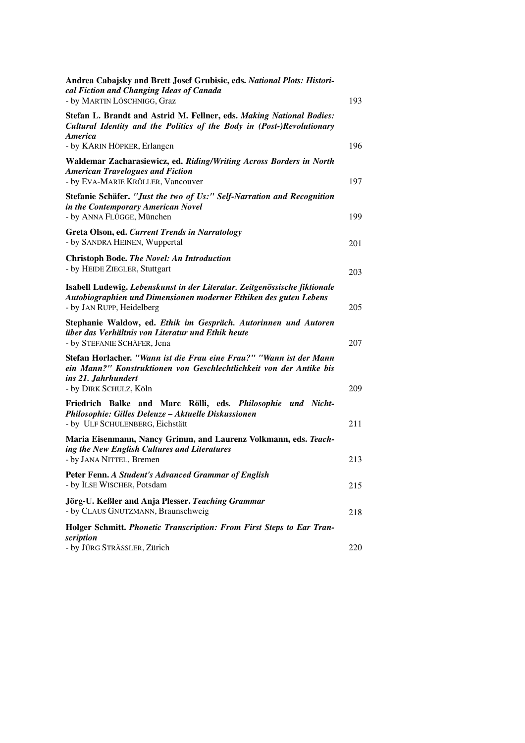| Andrea Cabajsky and Brett Josef Grubisic, eds. National Plots: Histori-<br>cal Fiction and Changing Ideas of Canada<br>- by MARTIN LÖSCHNIGG, Graz                          | 193 |
|-----------------------------------------------------------------------------------------------------------------------------------------------------------------------------|-----|
| Stefan L. Brandt and Astrid M. Fellner, eds. Making National Bodies:<br>Cultural Identity and the Politics of the Body in (Post-)Revolutionary<br><b>America</b>            |     |
| - by KARIN HÖPKER, Erlangen                                                                                                                                                 | 196 |
| Waldemar Zacharasiewicz, ed. Riding/Writing Across Borders in North<br><b>American Travelogues and Fiction</b><br>- by EVA-MARIE KRÖLLER, Vancouver                         | 197 |
| Stefanie Schäfer. "Just the two of Us:" Self-Narration and Recognition<br>in the Contemporary American Novel<br>- by ANNA FLÜGGE, München                                   | 199 |
|                                                                                                                                                                             |     |
| Greta Olson, ed. Current Trends in Narratology<br>- by SANDRA HEINEN, Wuppertal                                                                                             | 201 |
| <b>Christoph Bode. The Novel: An Introduction</b>                                                                                                                           |     |
| - by HEIDE ZIEGLER, Stuttgart                                                                                                                                               | 203 |
| Isabell Ludewig. Lebenskunst in der Literatur. Zeitgenössische fiktionale<br>Autobiographien und Dimensionen moderner Ethiken des guten Lebens<br>- by JAN RUPP, Heidelberg | 205 |
| Stephanie Waldow, ed. Ethik im Gespräch. Autorinnen und Autoren<br>über das Verhältnis von Literatur und Ethik heute<br>- by STEFANIE SCHÄFER, Jena                         | 207 |
| Stefan Horlacher. "Wann ist die Frau eine Frau?" "Wann ist der Mann<br>ein Mann?" Konstruktionen von Geschlechtlichkeit von der Antike bis<br>ins 21. Jahrhundert           |     |
| - by DIRK SCHULZ, Köln                                                                                                                                                      | 209 |
| Friedrich Balke and Marc Rölli, eds. Philosophie und Nicht-<br>Philosophie: Gilles Deleuze - Aktuelle Diskussionen                                                          |     |
| - by ULF SCHULENBERG, Eichstätt                                                                                                                                             | 211 |
| Maria Eisenmann, Nancy Grimm, and Laurenz Volkmann, eds. Teach-<br>ing the New English Cultures and Literatures                                                             |     |
| - by JANA NITTEL, Bremen                                                                                                                                                    | 213 |
| Peter Fenn. A Student's Advanced Grammar of English<br>- by ILSE WISCHER, Potsdam                                                                                           | 215 |
| Jörg-U. Keßler and Anja Plesser. Teaching Grammar<br>- by CLAUS GNUTZMANN, Braunschweig                                                                                     | 218 |
| Holger Schmitt. Phonetic Transcription: From First Steps to Ear Tran-<br>scription                                                                                          |     |
| - by JÜRG STRÄSSLER, Zürich                                                                                                                                                 | 220 |